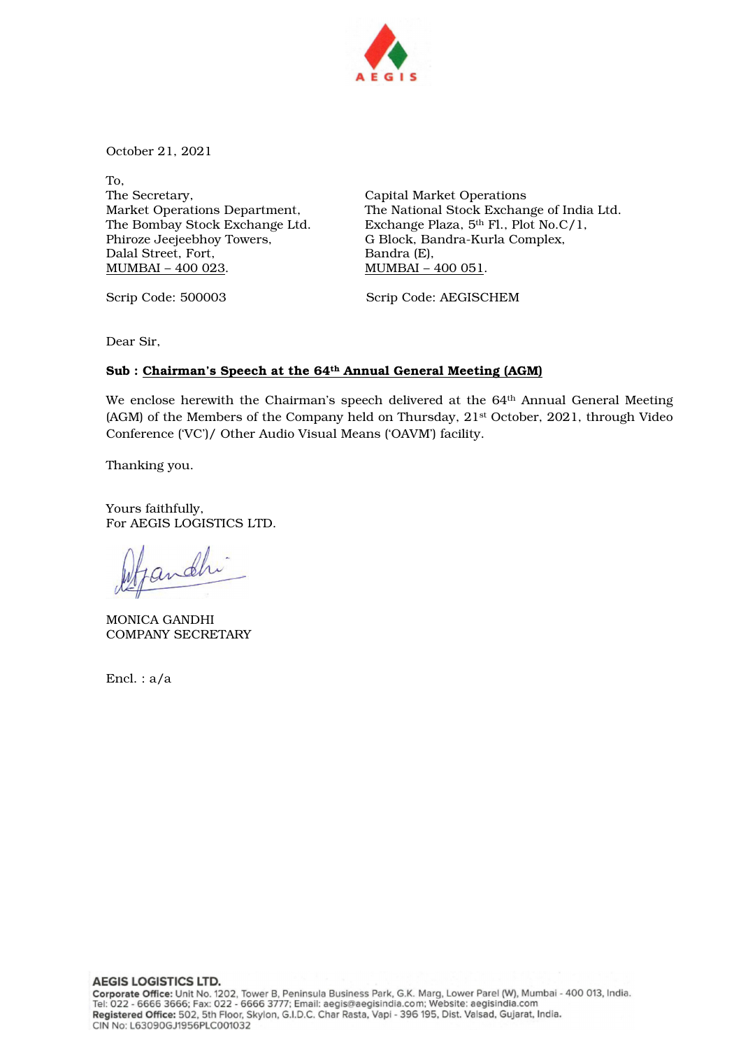

October 21, 2021

To, The Secretary, Market Operations Department, The Bombay Stock Exchange Ltd. Phiroze Jeejeebhoy Towers, Dalal Street, Fort, MUMBAI – 400 023.

Capital Market Operations The National Stock Exchange of India Ltd. Exchange Plaza, 5th Fl., Plot No.C/1, G Block, Bandra-Kurla Complex, Bandra (E), MUMBAI – 400 051.

Scrip Code: 500003 Scrip Code: AEGISCHEM

Dear Sir,

#### Sub : Chairman's Speech at the 64th Annual General Meeting (AGM)

We enclose herewith the Chairman's speech delivered at the 64<sup>th</sup> Annual General Meeting (AGM) of the Members of the Company held on Thursday, 21st October, 2021, through Video Conference ('VC')/ Other Audio Visual Means ('OAVM') facility.

Thanking you.

Yours faithfully, For AEGIS LOGISTICS LTD.

andh

MONICA GANDHI COMPANY SECRETARY

Encl. : a/a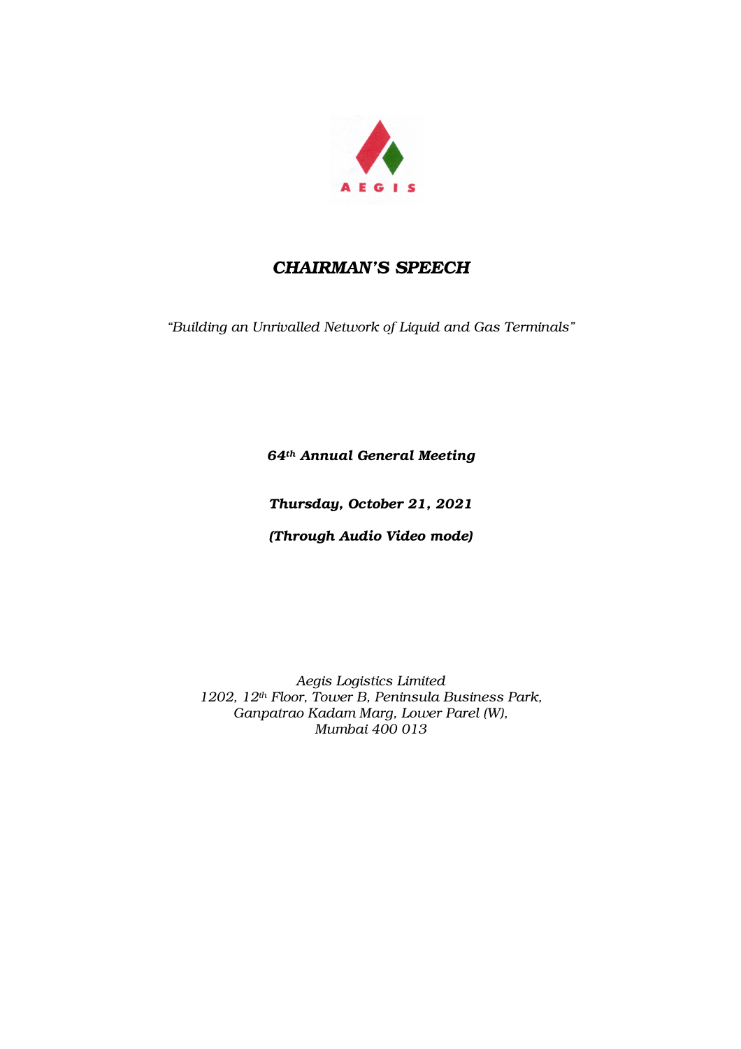

# *CHAIRMAN'S SPEECH*

*"Building an Unrivalled Network of Liquid and Gas Terminals"* 

*64th Annual General Meeting* 

*Thursday, October 21, 2021* 

*(Through Audio Video mode)* 

*Aegis Logistics Limited 1202, 12th Floor, Tower B, Peninsula Business Park, Ganpatrao Kadam Marg, Lower Parel (W), Mumbai 400 013*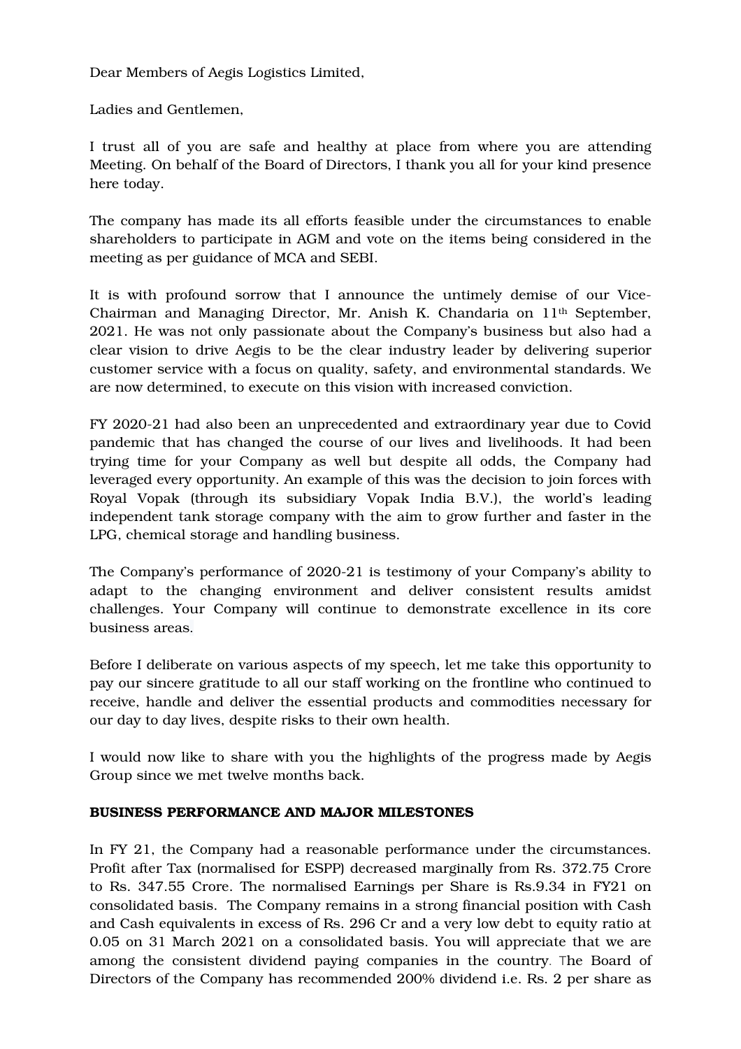Dear Members of Aegis Logistics Limited,

Ladies and Gentlemen,

I trust all of you are safe and healthy at place from where you are attending Meeting. On behalf of the Board of Directors, I thank you all for your kind presence here today.

The company has made its all efforts feasible under the circumstances to enable shareholders to participate in AGM and vote on the items being considered in the meeting as per guidance of MCA and SEBI.

It is with profound sorrow that I announce the untimely demise of our Vice-Chairman and Managing Director, Mr. Anish K. Chandaria on 11th September, 2021. He was not only passionate about the Company's business but also had a clear vision to drive Aegis to be the clear industry leader by delivering superior customer service with a focus on quality, safety, and environmental standards. We are now determined, to execute on this vision with increased conviction.

FY 2020-21 had also been an unprecedented and extraordinary year due to Covid pandemic that has changed the course of our lives and livelihoods. It had been trying time for your Company as well but despite all odds, the Company had leveraged every opportunity. An example of this was the decision to join forces with Royal Vopak (through its subsidiary Vopak India B.V.), the world's leading independent tank storage company with the aim to grow further and faster in the LPG, chemical storage and handling business.

The Company's performance of 2020-21 is testimony of your Company's ability to adapt to the changing environment and deliver consistent results amidst challenges. Your Company will continue to demonstrate excellence in its core business areas.

Before I deliberate on various aspects of my speech, let me take this opportunity to pay our sincere gratitude to all our staff working on the frontline who continued to receive, handle and deliver the essential products and commodities necessary for our day to day lives, despite risks to their own health.

I would now like to share with you the highlights of the progress made by Aegis Group since we met twelve months back.

### BUSINESS PERFORMANCE AND MAJOR MILESTONES

In FY 21, the Company had a reasonable performance under the circumstances. Profit after Tax (normalised for ESPP) decreased marginally from Rs. 372.75 Crore to Rs. 347.55 Crore. The normalised Earnings per Share is Rs.9.34 in FY21 on consolidated basis. The Company remains in a strong financial position with Cash and Cash equivalents in excess of Rs. 296 Cr and a very low debt to equity ratio at 0.05 on 31 March 2021 on a consolidated basis. You will appreciate that we are among the consistent dividend paying companies in the country. The Board of Directors of the Company has recommended 200% dividend i.e. Rs. 2 per share as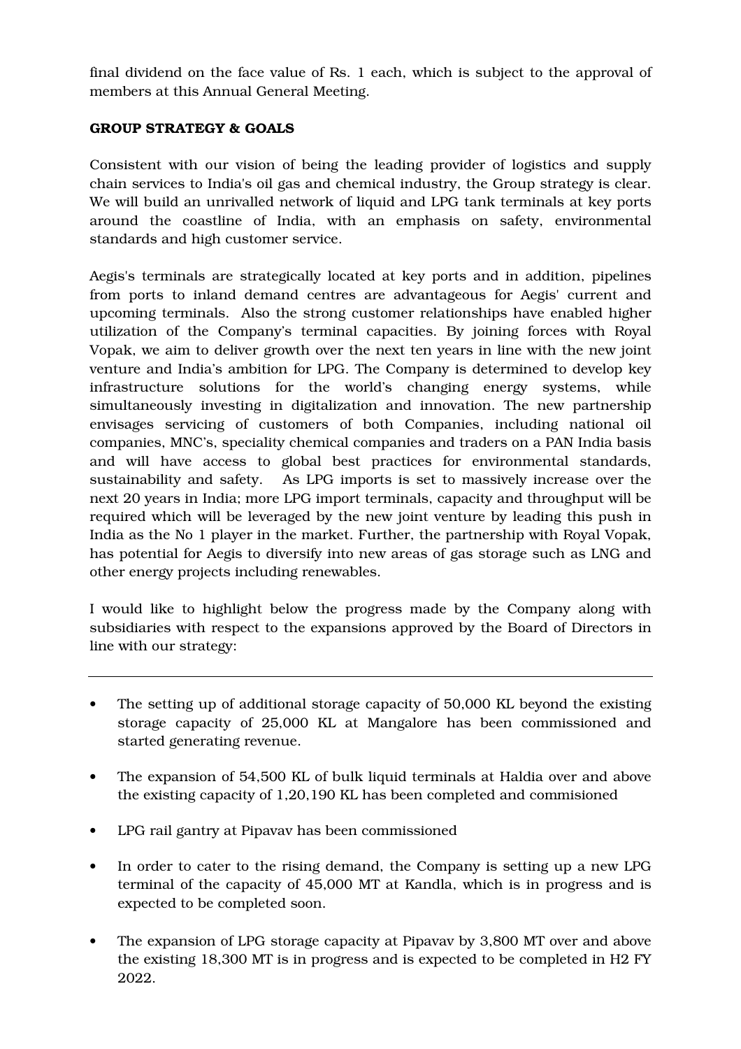final dividend on the face value of Rs. 1 each, which is subject to the approval of members at this Annual General Meeting.

# GROUP STRATEGY & GOALS

Consistent with our vision of being the leading provider of logistics and supply chain services to India's oil gas and chemical industry, the Group strategy is clear. We will build an unrivalled network of liquid and LPG tank terminals at key ports around the coastline of India, with an emphasis on safety, environmental standards and high customer service.

Aegis's terminals are strategically located at key ports and in addition, pipelines from ports to inland demand centres are advantageous for Aegis' current and upcoming terminals. Also the strong customer relationships have enabled higher utilization of the Company's terminal capacities. By joining forces with Royal Vopak, we aim to deliver growth over the next ten years in line with the new joint venture and India's ambition for LPG. The Company is determined to develop key infrastructure solutions for the world's changing energy systems, while simultaneously investing in digitalization and innovation. The new partnership envisages servicing of customers of both Companies, including national oil companies, MNC's, speciality chemical companies and traders on a PAN India basis and will have access to global best practices for environmental standards, sustainability and safety. As LPG imports is set to massively increase over the next 20 years in India; more LPG import terminals, capacity and throughput will be required which will be leveraged by the new joint venture by leading this push in India as the No 1 player in the market. Further, the partnership with Royal Vopak, has potential for Aegis to diversify into new areas of gas storage such as LNG and other energy projects including renewables.

I would like to highlight below the progress made by the Company along with subsidiaries with respect to the expansions approved by the Board of Directors in line with our strategy:

- The setting up of additional storage capacity of 50,000 KL beyond the existing storage capacity of 25,000 KL at Mangalore has been commissioned and started generating revenue.
- The expansion of 54,500 KL of bulk liquid terminals at Haldia over and above the existing capacity of 1,20,190 KL has been completed and commisioned
- LPG rail gantry at Pipavav has been commissioned
- In order to cater to the rising demand, the Company is setting up a new LPG terminal of the capacity of 45,000 MT at Kandla, which is in progress and is expected to be completed soon.
- The expansion of LPG storage capacity at Pipavav by 3,800 MT over and above the existing 18,300 MT is in progress and is expected to be completed in H2 FY 2022.